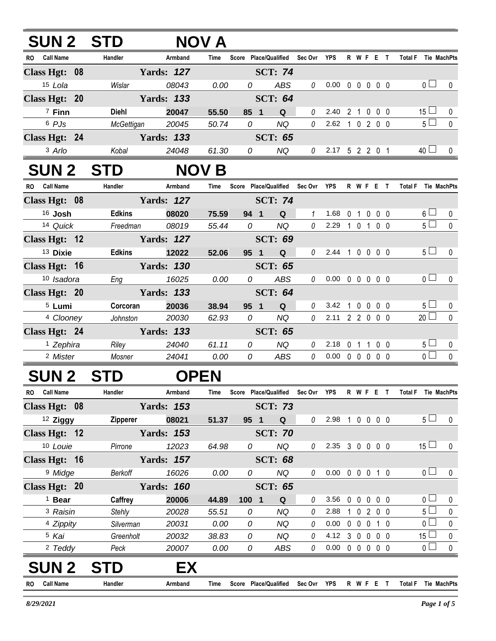| <b>SUN 2 STD</b>        |               |                   | <b>NOV A</b> |                       |                |               |                |                |             |                                 |                     |              |
|-------------------------|---------------|-------------------|--------------|-----------------------|----------------|---------------|----------------|----------------|-------------|---------------------------------|---------------------|--------------|
| <b>Call Name</b><br>RO. | Handler       | Armband           | <b>Time</b>  | Score Place/Qualified |                | Sec Ovr       | <b>YPS</b>     |                |             | R W F E T                       | <b>Total F</b>      | Tie MachPts  |
| Class Hgt: 08           |               | <b>Yards: 127</b> |              |                       | <b>SCT: 74</b> |               |                |                |             |                                 |                     |              |
| 15 Lola                 | Wislar        | 08043             | 0.00         | 0                     | <b>ABS</b>     | 0             | 0.00           |                |             | $0\quad 0\quad 0\quad 0\quad 0$ | 0 <sub>l</sub>      | $\mathbf 0$  |
| Class Hgt: 20           |               | <b>Yards: 133</b> |              |                       | <b>SCT: 64</b> |               |                |                |             |                                 |                     |              |
| $7$ Finn                | <b>Diehl</b>  | 20047             | 55.50        | 85 1                  | Q              | $\mathcal O$  | 2.40           | 2 <sub>1</sub> | $\mathbf 0$ | 0 <sub>0</sub>                  | $15 \Box$           | $\mathbf{0}$ |
| 6 PJs                   | McGettigan    | 20045             | 50.74        | 0                     | <b>NQ</b>      | $\mathcal{O}$ | 2.62 1 0 2 0 0 |                |             |                                 | 5 <sub>1</sub>      | $\mathbf 0$  |
| Class Hgt: 24           |               | <b>Yards: 133</b> |              |                       | <b>SCT: 65</b> |               |                |                |             |                                 |                     |              |
| 3 Arlo                  | Kobal         | 24048             | 61.30        | 0                     | <b>NQ</b>      | $\theta$      | 2.17 5 2 2 0 1 |                |             |                                 | $40\Box$            | 0            |
| <b>SUN 2</b>            | <b>STD</b>    |                   | <b>NOV B</b> |                       |                |               |                |                |             |                                 |                     |              |
| <b>Call Name</b><br>RO. | Handler       | Armband           | Time         | Score Place/Qualified |                | Sec Ovr YPS   |                |                |             | R W F E T                       | Total F Tie MachPts |              |
| Class Hgt: 08           |               | <b>Yards: 127</b> |              |                       | <b>SCT: 74</b> |               |                |                |             |                                 |                     |              |
| 16 Josh                 | <b>Edkins</b> | 08020             | 75.59        | 94 1                  | Q              | $\mathcal I$  | 1.68           | 0 <sub>1</sub> |             | $0\quad 0\quad 0$               | $6\perp$            | $\mathbf{0}$ |
| 14 Quick                | Freedman      | 08019             | 55.44        | 0                     | <b>NQ</b>      | $\Omega$      | 2.29           |                |             | 1 0 1 0 0                       | 5 <sub>1</sub>      | $\mathbf{0}$ |
| Class Hgt: 12           |               | <b>Yards: 127</b> |              |                       | <b>SCT: 69</b> |               |                |                |             |                                 |                     |              |
| 13 Dixie                | <b>Edkins</b> | 12022             | 52.06        | 95 1                  | Q              | $\theta$      | 2.44 1 0 0 0 0 |                |             |                                 | $5\Box$             | $\Omega$     |
| Class Hgt: 16           |               | <b>Yards: 130</b> |              |                       | <b>SCT: 65</b> |               |                |                |             |                                 |                     |              |
| 10 Isadora              | Eng           | 16025             | 0.00         | 0                     | ABS            | $\Omega$      | 0.00           |                |             | $00000$                         | 0 <sub>1</sub>      | $\mathbf 0$  |
| Class Hgt: 20           |               | <b>Yards: 133</b> |              |                       | <b>SCT: 64</b> |               |                |                |             |                                 |                     |              |
| <sup>5</sup> Lumi       | Corcoran      | 20036             | 38.94        | 95 1                  | Q              | 0             | 3.42           | $\overline{1}$ |             | $0\quad 0\quad 0\quad 0$        | 5 <sub>1</sub>      | 0            |
| <sup>4</sup> Clooney    | Johnston      | 20030             | 62.93        | 0                     | <b>NQ</b>      | 0             | 2.11 2 2 0 0 0 |                |             |                                 | 20 <sup>1</sup>     | $\mathbf{0}$ |
| Class Hgt: 24           |               | <b>Yards: 133</b> |              |                       | <b>SCT: 65</b> |               |                |                |             |                                 |                     |              |
| <sup>1</sup> Zephira    | Riley         | 24040             | 61.11        | 0                     | <b>NQ</b>      | 0             | 2.18           | $\mathbf{0}$   |             | 0 <sub>0</sub>                  | 5 <sub>1</sub>      | 0            |
| <sup>2</sup> Mister     | Mosner        | 24041             | 0.00         | 0                     | <b>ABS</b>     | $\theta$      | 0.00           |                |             | $0\quad 0\quad 0\quad 0\quad 0$ | 0 <sub>0</sub>      | $\mathbf 0$  |

## **SUN 2 STD OPEN**

| <b>RO</b> | <b>Call Name</b>     | Handler         | Armband           | Time  | Score           | <b>Place/Qualified</b> | Sec Ovr  | <b>YPS</b> | R            | W        | F            | Е                        |     | <b>Total F</b> | <b>Tie MachPts</b> |
|-----------|----------------------|-----------------|-------------------|-------|-----------------|------------------------|----------|------------|--------------|----------|--------------|--------------------------|-----|----------------|--------------------|
|           | Class Hgt: 08        |                 | <b>Yards: 153</b> |       |                 | <b>SCT: 73</b>         |          |            |              |          |              |                          |     |                |                    |
|           | $12$ Ziggy           | <b>Zipperer</b> | 08021             | 51.37 | 95 <sub>1</sub> | Q                      | $\theta$ | 2.98       |              |          |              | $0\quad 0\quad 0\quad 0$ |     | $5\perp$       | $\Omega$           |
|           | Class Hgt: 12        |                 | <b>Yards: 153</b> |       |                 | <b>SCT: 70</b>         |          |            |              |          |              |                          |     |                |                    |
|           | 10 Louie             | Pirrone         | 12023             | 64.98 | 0               | NQ                     | 0        | 2.35       | 3            | 0        | $\mathbf 0$  | $0\quad 0$               |     | $15 \Box$      | $\Omega$           |
|           | Class Hgt: 16        |                 | <b>Yards: 157</b> |       |                 | <b>SCT: 68</b>         |          |            |              |          |              |                          |     |                |                    |
|           | <sup>9</sup> Midge   | Berkoff         | 16026             | 0.00  | 0               | NQ.                    | 0        | 0.00       | 0            | $\Omega$ | $\mathbf{0}$ |                          | 1 0 | 0 <sub>0</sub> | $\Omega$           |
|           | Class Hgt: 20        |                 | <b>Yards: 160</b> |       |                 | <b>SCT: 65</b>         |          |            |              |          |              |                          |     |                |                    |
|           | $1$ Bear             | Caffrey         | 20006             | 44.89 | 100             | Q<br>$\blacksquare$    | $\theta$ | 3.56       | 0            | 0        | $\Omega$     | $\Omega$                 | - 0 | 0 <sub>0</sub> | 0                  |
|           | <sup>3</sup> Raisin  | Stehly          | 20028             | 55.51 | 0               | NQ                     | 0        | 2.88       |              | 0        |              | 2 0 0                    |     | 5 <sub>1</sub> | 0                  |
|           | <sup>4</sup> Zippity | Silverman       | 20031             | 0.00  | 0               | NQ                     | 0        | 0.00       | 0            | $\Omega$ | $\Omega$     |                          | - 0 | $0 -$          | 0                  |
|           | <sup>5</sup> Kai     | Greenholt       | 20032             | 38.83 | 0               | NQ                     | $\theta$ | 4.12       | 3            | $\Omega$ | $\Omega$     | 00                       |     | 15 $\Box$      | 0                  |
|           | <sup>2</sup> Teddy   | Peck            | 20007             | 0.00  | 0               | <b>ABS</b>             | $\theta$ | 0.00       | $\mathbf{0}$ | $\Omega$ | $\Omega$     | $0\quad 0$               |     | 0 <sub>l</sub> | $\Omega$           |
|           | <b>SUN2</b>          | <b>STD</b>      | EX                |       |                 |                        |          |            |              |          |              |                          |     |                |                    |
| <b>RO</b> | <b>Call Name</b>     | Handler         | Armband           | Time  |                 | Score Place/Qualified  | Sec Ovr  | <b>YPS</b> | R            | W        | F            | Е                        |     | <b>Total F</b> | Tie MachPts        |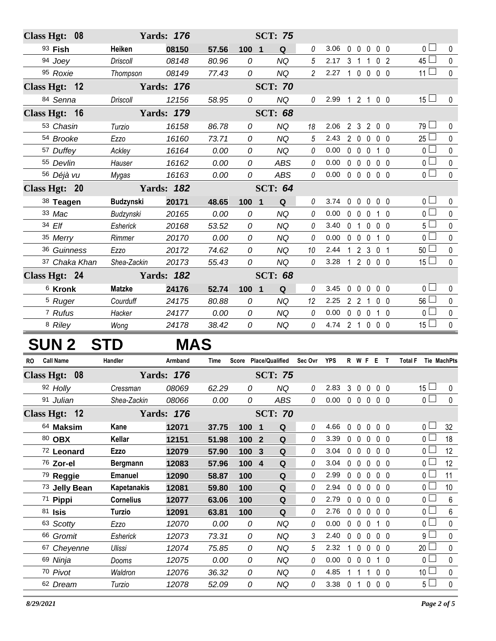|           | Class Hgt: 08        |                    | <b>Yards: 176</b> |                |                       | <b>SCT: 75</b>  |                |                            |              |                     |                   |                |                                   |                |
|-----------|----------------------|--------------------|-------------------|----------------|-----------------------|-----------------|----------------|----------------------------|--------------|---------------------|-------------------|----------------|-----------------------------------|----------------|
|           | 93 Fish              | Heiken             | 08150             | 57.56          | $100$ 1               | Q               | $\theta$       | 3.06                       | $\mathbf 0$  | 0                   | $\mathbf 0$       | 0 <sub>0</sub> | 0 <sub>1</sub>                    | 0              |
|           | 94 Joey              | <b>Driscoll</b>    | 08148             | 80.96          | 0                     | <b>NQ</b>       | 5              | 2.17 3 1 1 0 2             |              |                     |                   |                | $45\Box$                          | $\mathbf 0$    |
|           | 95 Roxie             | Thompson           | 08149             | 77.43          | 0                     | <b>NQ</b>       | $\overline{2}$ | 2.27 1 0 0 0 0             |              |                     |                   |                | 11 $\Box$                         | $\mathbf 0$    |
|           | Class Hgt: 12        |                    | <b>Yards: 176</b> |                |                       | <b>SCT: 70</b>  |                |                            |              |                     |                   |                |                                   |                |
|           | 84 Senna             | <b>Driscoll</b>    | 12156             | 58.95          | 0                     | <b>NQ</b>       | 0              | 2.99                       |              |                     | 1 2 1 0 0         |                | $15 \Box$                         | 0              |
|           | Class Hgt: 16        |                    | <b>Yards: 179</b> |                |                       | <b>SCT: 68</b>  |                |                            |              |                     |                   |                |                                   |                |
|           | 53 Chasin            | Turzio             | 16158             | 86.78          | 0                     | <b>NQ</b>       | 18             | 2.06                       |              |                     | 2 3 2 0 0         |                | 79 l                              | 0              |
|           | 54 Brooke            | Ezzo               | 16160             | 73.71          | 0                     | <b>NQ</b>       | 5              | 2.43                       |              |                     | 2 0 0 0 0         |                | $25 \Box$                         | $\mathbf 0$    |
|           | 57 Duffey            | Ackley             | 16164             | 0.00           | 0                     | <b>NQ</b>       | 0              | 0.00                       |              |                     | 0 0 0 1 0         |                | $\overline{0}$                    | 0              |
|           | 55 Devlin            | Hauser             | 16162             | 0.00           | 0                     | <b>ABS</b>      | 0              | 0.00                       |              | $0\quad 0\quad 0$   |                   | 0 <sub>0</sub> | $\overline{0}$                    | $\pmb{0}$      |
|           | 56 Déjà vu           | Mygas              | 16163             | 0.00           | 0                     | <b>ABS</b>      | 0              | 0.00                       |              |                     | 00000             |                | $\overline{0}$                    | $\mathbf 0$    |
|           | Class Hgt: 20        |                    | <b>Yards: 182</b> |                |                       | <b>SCT: 64</b>  |                |                            |              |                     |                   |                |                                   |                |
|           | 38 Teagen            | <b>Budzynski</b>   | 20171             | 48.65          | 100 1                 | Q               | $\it{0}$       | 3.74                       |              |                     | $00000$           |                | 0 <sub>1</sub>                    | 0              |
|           | 33 Mac               | Budzynski          | 20165             | 0.00           | 0                     | <b>NQ</b>       | 0              | 0.00                       | $0\quad 0$   |                     | $\mathbf 0$       | $1\quad0$      | $\overline{0}$                    | 0              |
|           | 34 Elf               | Esherick           | 20168             | 53.52          | 0                     | <b>NQ</b>       | 0              | 3.40                       |              | $0 \quad 1 \quad 0$ |                   | 0 <sub>0</sub> | $5\Box$                           | $\mathbf 0$    |
|           | 35 Merry             | Rimmer             | 20170             | 0.00           | 0                     | <b>NQ</b>       | 0              | 0.00                       | $0\quad 0$   |                     | $\mathbf 0$       | $1\quad0$      | 0 <sub>0</sub>                    | 0              |
|           | 36 Guinness          | Ezzo               | 20172             | 74.62          | 0                     | <b>NQ</b>       | 10             | 2.44                       | $\mathbf{1}$ |                     | 2 3 0 1           |                | $50 \Box$                         | $\pmb{0}$      |
|           | 37 Chaka Khan        | Shea-Zackin        | 20173             | 55.43          | 0                     | <b>NQ</b>       | 0              | 3.28                       |              |                     | 1 2 0 0 0         |                | $15 \Box$                         | $\mathbf 0$    |
|           | Class Hgt: 24        |                    | <b>Yards: 182</b> |                |                       | <b>SCT: 68</b>  |                |                            |              |                     |                   |                |                                   |                |
|           | <sup>6</sup> Kronk   | <b>Matzke</b>      | 24176             | 52.74          | $100$ 1               | $\mathbf Q$     | 0              | 3.45                       | $\mathbf 0$  | $\mathbf 0$         | $\mathbf 0$       | 0 <sub>0</sub> | 0 <sub>1</sub>                    | 0              |
|           | <sup>5</sup> Ruger   | Courduff           | 24175             | 80.88          | 0                     | <b>NQ</b>       | 12             | 2.25                       |              | $2 \quad 2 \quad 1$ |                   | 0 <sub>0</sub> | $56 \perp$                        | $\pmb{0}$      |
|           | 7 Rufus              | Hacker             | 24177             | 0.00           | 0                     | <b>NQ</b>       | $\theta$       | 0.00                       |              |                     | 0 0 0 1 0         |                | 0 <sub>l</sub>                    | $\pmb{0}$      |
|           | 8 Riley              | Wong               | 24178             | 38.42          | 0                     | <b>NQ</b>       | 0              | 4.74 2 1 0 0 0             |              |                     |                   |                | $15\perp$                         | $\mathbf 0$    |
|           | <b>SUN 2</b>         | <b>STD</b>         | <b>MAS</b>        |                |                       |                 |                |                            |              |                     |                   |                |                                   |                |
| <b>RO</b> | <b>Call Name</b>     | Handler            | Armband           | Time           | Score Place/Qualified |                 | Sec Ovr        | YPS                        |              |                     | R W F E T         |                | Total F Tie MachPts               |                |
|           | Class Hgt: 08        |                    | <b>Yards: 176</b> |                |                       | <b>SCT: 75</b>  |                |                            |              |                     |                   |                |                                   |                |
|           | 92 Holly             | Cressman           | 08069             | 62.29          | $\overline{O}$        | NQ              |                | $0$ 2.83 3 0 0 0 0         |              |                     |                   |                | 15 <sup>1</sup>                   | $\Omega$       |
|           | 91 Julian            | Shea-Zackin        | 08066             | 0.00           | 0                     | ABS             | 0              | $0.00 \t0 \t0 \t0 \t0 \t0$ |              |                     |                   |                | 0 <sup>1</sup>                    | $\mathbf 0$    |
|           | Class Hgt: 12        |                    | <b>Yards: 176</b> |                |                       | <b>SCT: 70</b>  |                |                            |              |                     |                   |                |                                   |                |
|           | 64 Maksim            | Kane               | 12071             | 37.75          | 1001                  | Q               | 0              | 4.66                       |              |                     | 00000             |                | 0 <sub>0</sub>                    | 32             |
|           | 80 OBX               | Kellar             | 12151             | 51.98          | 100 <sub>2</sub>      | $\mathbf Q$     | 0              | 3.39                       |              |                     | 00000             |                | $0-$                              | 18             |
|           | 72 Leonard           | Ezzo               | 12079             | 57.90          | 100<br>$\mathbf{3}$   | Q               | 0              | 3.04                       | $0\quad 0$   |                     | $\mathbf 0$       | $0\quad 0$     | 0 l                               | 12             |
|           | 76 Zor-el            | <b>Bergmann</b>    | 12083             | 57.96          | 100 4                 | ${\bf Q}$       | 0              | 3.04                       | $0\quad 0$   |                     | $\mathbf 0$       | 0 <sub>0</sub> | 0 L                               | 12             |
|           | 79 Reggie            | <b>Emanuel</b>     | 12090             | 58.87          | 100                   | Q               | 0              | 2.99                       | $0\quad 0$   |                     | $\mathbf 0$       | $0\quad 0$     | 0 l                               | 11             |
|           | 73 Jelly Bean        | <b>Kapetanakis</b> | 12081             | 59.80          | 100                   | ${\bf Q}$       | 0              | 2.94                       |              |                     | 00000             |                | 0 <sup>1</sup>                    | 10             |
|           | 71 Pippi             | <b>Cornelius</b>   | 12077             | 63.06          | 100                   | Q               | 0              | 2.79                       | $0\quad 0$   |                     | $\mathbf 0$       | $0\quad 0$     | 0 L                               | 6              |
|           | 81 <b>Isis</b>       | <b>Turzio</b>      | 12091             | 63.81          | 100                   | Q               | 0              | 2.76                       | $0\quad 0$   |                     | $\mathbf 0$       | 0 <sub>0</sub> | 0 <sub>0</sub>                    | 6              |
|           | 63 Scotty            | Ezzo               | 12070             | 0.00           | 0                     | <b>NQ</b>       | 0              | 0.00                       | $0\quad 0$   |                     | $\mathbf 0$       | 1 0            | 0 L                               | 0              |
|           |                      | Esherick           | 12073             | 73.31          | 0                     | <b>NQ</b>       | 3              | 2.40                       | $0\quad 0$   |                     | $0\quad 0\quad 0$ |                | $9+$                              | $\pmb{0}$      |
|           | 66 Gromit            |                    |                   |                |                       |                 |                |                            |              |                     |                   |                |                                   |                |
|           | 67 Cheyenne          | Ulissi             | 12074             | 75.85          | 0                     | <b>NQ</b>       | 5              | 2.32                       | $\mathbf 1$  | $\mathbf 0$         | $\mathbf 0$       | $0\quad 0$     | 20 <sup>1</sup>                   | 0              |
|           | 69 Ninja             | Dooms              | 12075             | 0.00           | 0                     | <b>NQ</b>       | 0              | 0.00                       | $0\quad 0$   |                     | $\mathbf 0$       | $1\quad0$      | 0 <sub>0</sub>                    | $\mathbf 0$    |
|           | 70 Pivot<br>62 Dream | Waldron<br>Turzio  | 12076<br>12078    | 36.32<br>52.09 | 0<br>0                | <b>NQ</b><br>NQ | 0<br>0         | 4.85<br>3.38 0 1 0 0 0     | 1 1          |                     | $\mathbf{1}$      | $0\quad 0$     | 10 <sup>L</sup><br>5 <sub>1</sub> | 0<br>$\pmb{0}$ |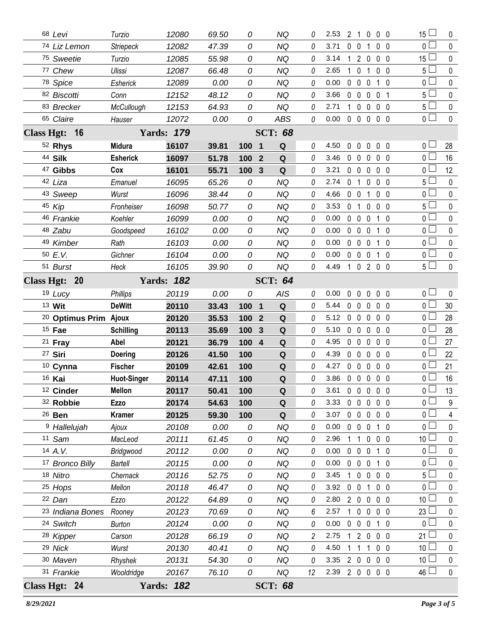| 68 Levi                            | Turzio             | 12080             | 69.50 | 0     | NQ                  | 0        | 2.53           |                | 2 <sub>1</sub>    | $\mathbf 0$    | 0 <sub>0</sub>                | 15 <sup>L</sup>  | 0            |
|------------------------------------|--------------------|-------------------|-------|-------|---------------------|----------|----------------|----------------|-------------------|----------------|-------------------------------|------------------|--------------|
| 74 Liz Lemon                       | <b>Striepeck</b>   | 12082             | 47.39 | 0     | <b>NQ</b>           | 0        | 3.71           | 0 <sub>0</sub> |                   | 1              | 0 <sub>0</sub>                | 0 L              | $\mathbf{0}$ |
| 75 Sweetie                         | Turzio             | 12085             | 55.98 | 0     | NQ                  | 0        | 3.14           |                | $120$             |                | 0 <sub>0</sub>                | 15 <sup>1</sup>  | $\mathbf{0}$ |
| 77 Chew                            | Ulissi             | 12087             | 66.48 | 0     | <b>NQ</b>           | 0        | 2.65           | $\mathbf{1}$   | $\mathbf 0$       | $\mathbf{1}$   | 0 <sub>0</sub>                | 5 L              | 0            |
| 78 Spice                           | Esherick           | 12089             | 0.00  | 0     | <b>NQ</b>           | 0        | 0.00           |                | $0\quad 0$        | $\mathbf 0$    | $1\quad0$                     | 0 l              | $\mathbf{0}$ |
| 82 Biscotti                        | Conn               | 12152             | 48.12 | 0     | <b>NQ</b>           | 0        | 3.66           |                | $0\quad 0$        | $\mathbf 0$    | $\mathbf 0$<br>$\overline{1}$ | 5 L              | 0            |
| 83 Brecker                         | <b>McCullough</b>  | 12153             | 64.93 | 0     | <b>NQ</b>           | 0        | 2.71           |                | $1\quad0$         | $\mathbf 0$    | 0 <sub>0</sub>                | 5 l              | 0            |
| 65 Claire                          | Hauser             | 12072             | 0.00  | 0     | <b>ABS</b>          | 0        | 0.00           |                | $0\quad 0\quad 0$ |                | 0 <sub>0</sub>                | 0 <sub>0</sub>   | $\mathbf 0$  |
| Class Hgt: 16                      |                    | <b>Yards: 179</b> |       |       | <b>SCT: 68</b>      |          |                |                |                   |                |                               |                  |              |
| <sup>52</sup> Rhys                 | <b>Midura</b>      | 16107             | 39.81 | 100 1 | Q                   | 0        | 4.50           | $\mathbf 0$    | $\mathbf 0$       | $\mathbf 0$    | 0 <sub>0</sub>                | 0 l              | 28           |
| 44 Silk                            | <b>Esherick</b>    | 16097             | 51.78 | 100 2 | Q                   | $\Omega$ | 3.46           |                | $0\quad 0$        | $\mathbf 0$    | 0 <sub>0</sub>                | 0 L              | 16           |
| 47 Gibbs                           | Cox                | 16101             | 55.71 | 100 3 | Q                   | 0        | 3.21           |                | $0\quad 0$        | $\overline{0}$ | 0 <sub>0</sub>                | 0 l              | 12           |
| 42 Liza                            | Emanuel            | 16095             | 65.26 | 0     | <b>NQ</b>           | $\theta$ | 2.74           | $\mathbf 0$    | $\overline{1}$    | $\mathbf 0$    | 0 <sub>0</sub>                | 5 l              | $\mathbf 0$  |
| 43 Sweep                           | Wurst              | 16096             | 38.44 | 0     | <b>NQ</b>           | 0        | 4.66           | $0\quad 0$     |                   | 1              | $0\quad 0$                    | 0 l              | 0            |
| 45 Kip                             | Fronheiser         | 16098             | 50.77 | 0     | <b>NQ</b>           | $\theta$ | 3.53           | 0 <sub>1</sub> |                   | 0              | 0 <sub>0</sub>                | 5 l              | 0            |
| 46 Frankie                         | Koehler            | 16099             | 0.00  | 0     | <b>NQ</b>           | 0        | 0.00           |                | 0 <sub>0</sub>    | 0              | $1\quad0$                     | $0-$             | 0            |
| 48 Zabu                            | Goodspeed          | 16102             | 0.00  | 0     | <b>NQ</b>           | 0        | 0.00           |                | $0\quad 0$        | $\mathbf 0$    | $1\quad0$                     | $0-$             | 0            |
| 49 Kimber                          | Rath               | 16103             | 0.00  | 0     | <b>NQ</b>           | 0        | 0.00           |                | $0\quad 0$        | $\mathbf 0$    | 1 0                           | 0 <sub>1</sub>   | 0            |
| 50 E.V.                            | Gichner            | 16104             | 0.00  | 0     | <b>NQ</b>           | 0        | 0.00           |                | $0\quad 0$        | $\overline{0}$ | $1\quad0$                     | 0 <sub>0</sub>   | 0            |
| 51 Burst                           | Heck               | 16105             | 39.90 | 0     | NQ                  | 0        | 4.49           |                |                   |                | 1 0 2 0 0                     | $5+$             | $\mathbf{0}$ |
| Class Hgt: 20                      |                    | <b>Yards: 182</b> |       |       | <b>SCT: 64</b>      |          |                |                |                   |                |                               |                  |              |
| 19 Lucy                            | <b>Phillips</b>    | 20119             | 0.00  | 0     | AIS                 | 0        | 0.00           | $\mathbf{0}$   | $\mathbf 0$       | $\pmb{0}$      | 0 <sub>0</sub>                | 0 <sub>0</sub>   | $\mathbf 0$  |
| 13 Wit                             | <b>DeWitt</b>      | 20110             | 33.43 | 100 1 | $\mathbf Q$         | 0        | 5.44           |                | $0\quad 0$        | $\mathbf{0}$   | 0 <sub>0</sub>                | 0 <sub>0</sub>   | 30           |
| <sup>20</sup> Optimus Prim Ajoux   |                    | 20120             | 35.53 | 100   | Q<br>$\overline{2}$ | 0        | 5.12           |                | $0\quad 0$        | $\overline{0}$ | 0 <sub>0</sub>                | 0 <sub>0</sub>   | 28           |
| $15$ Fae                           | <b>Schilling</b>   | 20113             | 35.69 | 100   | $\mathbf Q$<br>3    | 0        | 5.10           |                | $0\quad 0$        | $\mathbf 0$    | 0 <sub>0</sub>                | 0 <sup>1</sup>   | 28           |
| $21$ Fray                          | Abel               | 20121             | 36.79 | 100 4 | Q                   | 0        | 4.95           |                | $0\quad 0$        | $\mathbf 0$    | 0 <sub>0</sub>                | 0 l              | 27           |
| 27 Siri                            | <b>Doering</b>     | 20126             | 41.50 | 100   | $\mathbf Q$         | 0        | 4.39           |                | $0\quad 0$        | $\mathbf 0$    | 0 <sub>0</sub>                | 0 l              | 22           |
| 10 Cynna                           | <b>Fischer</b>     | 20109             | 42.61 | 100   | ${\bf Q}$           | 0        | 4.27           |                | $0\quad 0$        | $\mathbf 0$    | 0 <sub>0</sub>                | 0                | 21           |
| 16 Kai                             | <b>Huot-Singer</b> | 20114             | 47.11 | 100   | $\mathbf Q$         | $\theta$ | 3.86           |                | $0\quad 0\quad 0$ |                | 0 <sub>0</sub>                | 0 l              | 16           |
| 12 Cinder                          | Mellon             | 20117             | 50.41 | 100   | $\mathbf Q$         | 0        | 3.61 0 0 0 0 0 |                |                   |                |                               | 0 <sup>[</sup> ] | 13           |
| 32 Robbie                          | Ezzo               | 20174             | 54.63 | 100   | Q                   | 0        | 3.33           |                | $0\quad 0\quad 0$ |                | $0\quad 0$                    | $\overline{0}$   | 9            |
| 26 Ben                             | <b>Kramer</b>      | 20125             | 59.30 | 100   | Q                   | 0        | 3.07           |                | $0\quad 0$        | $\mathbf 0$    | $0\quad 0$                    | 0 l              | 4            |
| <sup>9</sup> Hallelujah            | Ajoux              | 20108             | 0.00  | 0     | NQ                  | 0        | 0.00           |                | $0\quad 0$        | $\overline{0}$ | $1\quad0$                     | 0 <sup>1</sup>   | 0            |
| 11 Sam                             | MacLeod            | 20111             | 61.45 | 0     | <b>NQ</b>           | 0        | 2.96           | $\mathbf{1}$   | $\mathbf{1}$      | 0              | 0 <sub>0</sub>                | 10 <sup>L</sup>  | 0            |
| 14 A.V.                            | Bridgwood          | 20112             | 0.00  | 0     | <b>NQ</b>           | 0        | 0.00           |                | $0\quad 0$        | $\overline{0}$ | $1\quad0$                     | 0 <sub>0</sub>   | 0            |
| 17 Bronco Billy                    | <b>Bartell</b>     | 20115             | 0.00  | 0     | <b>NQ</b>           | 0        | 0.00           |                | $0\quad 0$        | $\overline{0}$ | $1\quad0$                     | 0 l              | 0            |
| 18 Nitro                           | Chernack           | 20116             | 52.75 | 0     | <b>NQ</b>           | 0        | 3.45           |                | $1\quad 0$        | $\overline{0}$ | 0 <sub>0</sub>                | 5 <sub>1</sub>   | 0            |
| 25 Hops                            | Mellon             | 20118             | 46.47 | 0     | <b>NQ</b>           | 0        | 3.92           | $0\quad 0$     |                   | 1              | 0 <sub>0</sub>                | 0 l              | 0            |
| 22 Dan                             | Ezzo               | 20122             | 64.89 | 0     | <b>NQ</b>           | 0        | 2.80           |                | 200               |                | 0 <sub>0</sub>                | 10 <sup>1</sup>  | 0            |
| <sup>23</sup> Indiana Bones Rooney |                    | 20123             | 70.69 | 0     | <b>NQ</b>           | 6        | 2.57           | $\mathbf{1}$   | $\mathbf 0$       | $\mathbf 0$    | $0\quad 0$                    | 23 <sup>1</sup>  | 0            |
| 24 Switch                          | <b>Burton</b>      | 20124             | 0.00  | 0     | <b>NQ</b>           | 0        | 0.00           |                | $0\quad 0$        | $\overline{0}$ | $1\quad0$                     | 0 <sub>0</sub>   | 0            |
| 28 Kipper                          | Carson             | 20128             | 66.19 | 0     | <b>NQ</b>           | 2        | 2.75           | 1              | $\overline{2}$    | $\overline{0}$ | 0 <sub>0</sub>                | 21 <sup>1</sup>  | 0            |
| 29 Nick                            | Wurst              | 20130             | 40.41 | 0     | <b>NQ</b>           | 0        | 4.50           | 1              | 1                 | $\mathbf 1$    | 0 <sub>0</sub>                | 10 <sup>L</sup>  | 0            |
| 30 Maven                           | Rhyshek            | 20131             | 54.30 | 0     | <b>NQ</b>           | 0        | 3.35           |                | $2\quad0$         | $\overline{0}$ | $0\quad 0$                    | 10 <sup>1</sup>  | 0            |
| 31 Frankie                         | Wooldridge         | 20167             | 76.10 | 0     | NQ                  | 12       | 2.39 2 0 0 0 0 |                |                   |                |                               | $46 \Box$        | $\pmb{0}$    |
| Class Hgt: 24                      |                    | <b>Yards: 182</b> |       |       | <b>SCT: 68</b>      |          |                |                |                   |                |                               |                  |              |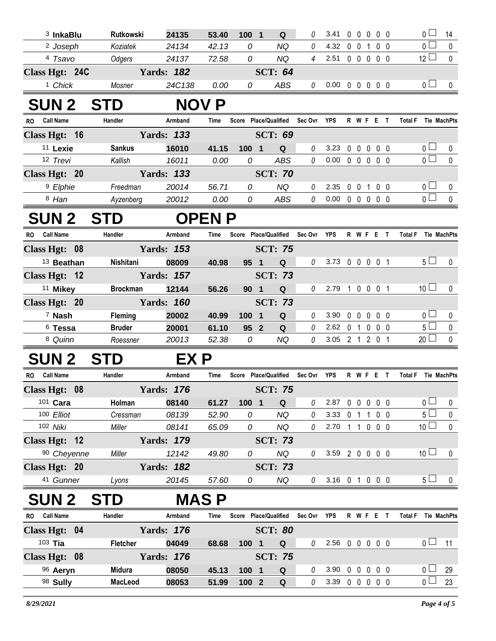| <sup>3</sup> InkaBlu          | Rutkowski       | 24135             | 53.40        | 100 1                             | Q              | 0              | 3.41                       |            | 00000     |                   |           | $\overline{0}$      | 14           |
|-------------------------------|-----------------|-------------------|--------------|-----------------------------------|----------------|----------------|----------------------------|------------|-----------|-------------------|-----------|---------------------|--------------|
| <sup>2</sup> Joseph           | Koziatek        | 24134             | 42.13        | 0                                 | NQ             | $\theta$       | 4.32 0 0 1 0 0             |            |           |                   |           | 0 <sub>1</sub>      | $\mathbf 0$  |
| 4 Tsavo                       | Odgers          | 24137             | 72.58        | 0                                 | NQ             | $\overline{4}$ | 2.51 0 0 0 0 0             |            |           |                   |           | $12 \Box$           | $\mathbf 0$  |
| Class Hgt: 24C                |                 | <b>Yards: 182</b> |              |                                   | <b>SCT: 64</b> |                |                            |            |           |                   |           |                     |              |
| <sup>1</sup> Chick            | Mosner          | 24C138            | 0.00         | 0                                 | ABS            | $\mathcal{O}$  | 0.00 0 0 0 0 0             |            |           |                   |           | 0 <sub>1</sub>      | 0            |
| <b>SUN 2</b>                  | <b>STD</b>      | <b>NOV P</b>      |              |                                   |                |                |                            |            |           |                   |           |                     |              |
| <b>Call Name</b><br><b>RO</b> | Handler         | Armband           | Time         | Score Place/Qualified             |                | Sec Ovr YPS    |                            |            | R W F E T |                   |           | Total F Tie MachPts |              |
| Class Hgt: 16                 |                 | <b>Yards: 133</b> |              |                                   | <b>SCT: 69</b> |                |                            |            |           |                   |           |                     |              |
| 11 Lexie                      | <b>Sankus</b>   | 16010             | 41.15        | 100 1                             | Q              | 0              | 3.23                       |            | 00000     |                   |           | 0 <sub>1</sub>      | 0            |
| 12 Trevi                      | Kallish         | 16011             | 0.00         | 0                                 | <b>ABS</b>     | 0              | $0.00 \t0 \t0 \t0 \t0 \t0$ |            |           |                   |           | $\overline{0}$      | $\mathbf{0}$ |
| Class Hgt: 20                 |                 | <b>Yards: 133</b> |              |                                   | <b>SCT: 70</b> |                |                            |            |           |                   |           |                     |              |
| 9 Elphie                      | Freedman        | 20014             | 56.71        | 0                                 | <b>NQ</b>      | $\theta$       | 2.35                       |            | 0 0 1 0 0 |                   |           | 0 <sub>0</sub>      | $\mathbf 0$  |
| 8 Han                         | Ayzenberg       | 20012             | 0.00         | 0                                 | ABS            | $\mathcal{O}$  | $0.00 \t0 \t0 \t0 \t0 \t0$ |            |           |                   |           | $\overline{0}$      | $\mathbf 0$  |
| <b>SUN 2</b>                  | <b>STD</b>      | <b>OPEN P</b>     |              |                                   |                |                |                            |            |           |                   |           |                     |              |
| RO Call Name                  | Handler         | Armband           | Time         | Score Place/Qualified Sec Ovr YPS |                |                |                            |            | R W F E T |                   |           | Total F Tie MachPts |              |
| Class Hgt: 08                 |                 | <b>Yards: 153</b> |              |                                   | <b>SCT: 75</b> |                |                            |            |           |                   |           |                     |              |
| <sup>13</sup> Beathan         | Nishitani       | 08009             | 40.98        | 95 1                              | Q              | $\theta$       | 3.73 0 0 0 0 1             |            |           |                   |           | $5\perp$            | $\mathbf{0}$ |
| Class Hgt: 12                 |                 | <b>Yards: 157</b> |              |                                   | <b>SCT: 73</b> |                |                            |            |           |                   |           |                     |              |
| <sup>11</sup> Mikey           | <b>Brockman</b> | 12144             | 56.26        | 90 1                              | Q              | $\mathcal O$   | 2.79 1 0 0 0 1             |            |           |                   |           | 10 <sup>1</sup>     | $\mathbf 0$  |
| Class Hgt: 20                 |                 | <b>Yards: 160</b> |              |                                   | <b>SCT: 73</b> |                |                            |            |           |                   |           |                     |              |
| 7 Nash                        | <b>Fleming</b>  | 20002             | 40.99        | 100 1                             | Q              | 0              | 3.90                       |            | 00000     |                   |           | 0 <sup>1</sup>      | 0            |
| <sup>6</sup> Tessa            | <b>Bruder</b>   | 20001             | 61.10        | 95 2                              | Q              | $\theta$       | 2.62                       |            | 0 1 0 0 0 |                   |           | 5 <sup>1</sup>      | $\pmb{0}$    |
| 8 Quinn                       | Roessner        | 20013             | 52.38        | 0                                 | <b>NQ</b>      | 0              | 3.05 2 1 2 0 1             |            |           |                   |           | $20$ $\Box$         | $\mathbf 0$  |
| <b>SUN 2</b>                  | <b>STD</b>      | EX P              |              |                                   |                |                |                            |            |           |                   |           |                     |              |
| <b>Call Name</b><br>RO.       | Handler         | Armband           | Time         | Score Place/Qualified             |                | Sec Ovr YPS    |                            |            | R W F E T |                   |           | Total F Tie MachPts |              |
| Class Hgt: 08                 |                 | <b>Yards: 176</b> |              |                                   | <b>SCT: 75</b> |                |                            |            |           |                   |           |                     |              |
| 101 Cara                      | Holman          | 08140             | 61.27        | $100 \quad 1$                     | Q              | 0              | 2.87 0 0 0 0 0             |            |           |                   |           | $\overline{0}$      | 0            |
| 100 Elliot                    | Cressman        | 08139             | 52.90        | 0                                 | <b>NQ</b>      | $\theta$       | 3.33                       |            | 0 1 1 0 0 |                   |           | $5\Box$             | $\mathbf 0$  |
| 102 Niki                      | Miller          | 08141             | 65.09        | 0                                 | <b>NQ</b>      | 0              | 2.70 1 1 0 0 0             |            |           |                   |           | 10 <sup>1</sup>     | 0            |
| Class Hgt: 12                 |                 | <b>Yards: 179</b> |              |                                   | <b>SCT: 73</b> |                |                            |            |           |                   |           |                     |              |
| 90 Cheyenne                   | Miller          | 12142             | 49.80        | 0                                 | NQ             | 0              | 3.59 2 0 0 0 0             |            |           |                   |           | 10 <sup>1</sup>     | $\mathbf 0$  |
| Class Hgt: 20                 |                 | <b>Yards: 182</b> |              |                                   | <b>SCT: 73</b> |                |                            |            |           |                   |           |                     |              |
| 41 Gunner                     | Lyons           | 20145             | 57.60        | 0                                 | NQ             | 0              | 3.16 0 1 0 0 0             |            |           |                   |           | $5\perp$            | 0            |
| <b>SUN 2</b>                  | <b>STD</b>      |                   | <b>MAS P</b> |                                   |                |                |                            |            |           |                   |           |                     |              |
| RO Call Name                  | Handler         | Armband           | Time         | Score Place/Qualified Sec Ovr YPS |                |                |                            |            |           |                   | R W F E T | Total F Tie MachPts |              |
| Class Hgt: 04                 |                 | <b>Yards: 176</b> |              |                                   | <b>SCT: 80</b> |                |                            |            |           |                   |           |                     |              |
| 103 Tia                       | Fletcher        | 04049             | 68.68        | 100 1                             | Q              | $\theta$       | 2.56 0 0 0 0 0             |            |           |                   |           | $\overline{0}$      | 11           |
| Class Hgt: 08                 |                 | <b>Yards: 176</b> |              |                                   | <b>SCT: 75</b> |                |                            |            |           |                   |           |                     |              |
| 96 Aeryn                      | <b>Midura</b>   | 08050             | 45.13        | 100 1                             | Q              | $\theta$       | 3.90                       | $0\quad 0$ |           | $0\quad 0\quad 0$ |           | 0 <sub>1</sub>      | 29           |
| 98 Sully                      | MacLeod         | 08053             | 51.99        | 100 2                             | Q              | 0              | 3.39 0 0 0 0 0             |            |           |                   |           | $\overline{0}$      | 23           |